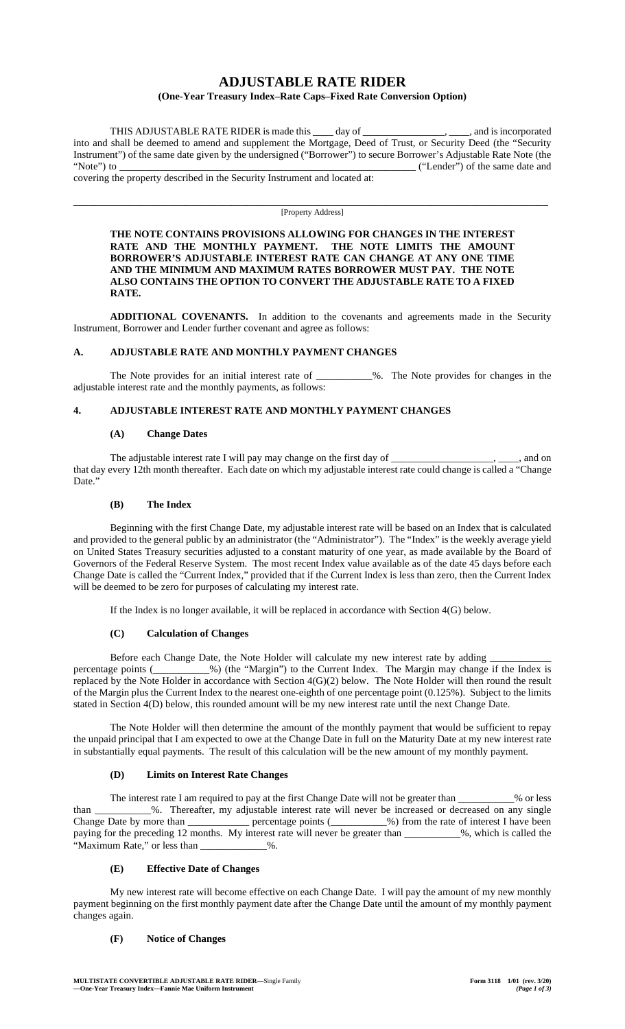# **ADJUSTABLE RATE RIDER**

# **(One-Year Treasury Index–Rate Caps–Fixed Rate Conversion Option)**

THIS ADJUSTABLE RATE RIDER is made this \_\_\_\_ day of \_\_\_\_\_\_\_\_\_\_\_\_\_\_\_\_\_, \_\_\_\_, and is incorporated into and shall be deemed to amend and supplement the Mortgage, Deed of Trust, or Security Deed (the "Security Instrument") of the same date given by the undersigned ("Borrower") to secure Borrower's Adjustable Rate Note (the "Note") to \_\_\_\_\_\_\_\_\_\_\_\_\_\_\_\_\_\_\_\_\_\_\_\_\_\_\_\_\_\_\_\_\_\_\_\_\_\_\_\_\_\_\_\_\_\_\_\_\_\_\_\_\_\_\_\_\_\_ ("Lender") of the same date and covering the property described in the Security Instrument and located at:

#### \_\_\_\_\_\_\_\_\_\_\_\_\_\_\_\_\_\_\_\_\_\_\_\_\_\_\_\_\_\_\_\_\_\_\_\_\_\_\_\_\_\_\_\_\_\_\_\_\_\_\_\_\_\_\_\_\_\_\_\_\_\_\_\_\_\_\_\_\_\_\_\_\_\_\_\_\_\_\_\_\_\_\_\_\_\_\_\_\_\_\_\_\_ [Property Address]

**THE NOTE CONTAINS PROVISIONS ALLOWING FOR CHANGES IN THE INTEREST RATE AND THE MONTHLY PAYMENT. THE NOTE LIMITS THE AMOUNT BORROWER'S ADJUSTABLE INTEREST RATE CAN CHANGE AT ANY ONE TIME AND THE MINIMUM AND MAXIMUM RATES BORROWER MUST PAY. THE NOTE ALSO CONTAINS THE OPTION TO CONVERT THE ADJUSTABLE RATE TO A FIXED RATE.**

**ADDITIONAL COVENANTS.** In addition to the covenants and agreements made in the Security Instrument, Borrower and Lender further covenant and agree as follows:

# **A. ADJUSTABLE RATE AND MONTHLY PAYMENT CHANGES**

The Note provides for an initial interest rate of \_\_\_\_\_\_\_\_\_\_\_%. The Note provides for changes in the adjustable interest rate and the monthly payments, as follows:

# **4. ADJUSTABLE INTEREST RATE AND MONTHLY PAYMENT CHANGES**

#### **(A) Change Dates**

The adjustable interest rate I will pay may change on the first day of \_\_\_\_\_\_\_\_\_\_\_\_\_\_\_\_\_\_\_, \_\_\_\_, and on that day every 12th month thereafter. Each date on which my adjustable interest rate could change is called a "Change Date."

# **(B) The Index**

Beginning with the first Change Date, my adjustable interest rate will be based on an Index that is calculated and provided to the general public by an administrator (the "Administrator"). The "Index" is the weekly average yield on United States Treasury securities adjusted to a constant maturity of one year, as made available by the Board of Governors of the Federal Reserve System. The most recent Index value available as of the date 45 days before each Change Date is called the "Current Index," provided that if the Current Index is less than zero, then the Current Index will be deemed to be zero for purposes of calculating my interest rate.

If the Index is no longer available, it will be replaced in accordance with Section 4(G) below.

# **(C) Calculation of Changes**

Before each Change Date, the Note Holder will calculate my new interest rate by adding percentage points (\_\_\_\_\_\_\_\_\_\_\_%) (the "Margin") to the Current Index. The Margin may change if the Index is replaced by the Note Holder in accordance with Section 4(G)(2) below. The Note Holder will then round the result of the Margin plus the Current Index to the nearest one-eighth of one percentage point (0.125%). Subject to the limits stated in Section 4(D) below, this rounded amount will be my new interest rate until the next Change Date.

The Note Holder will then determine the amount of the monthly payment that would be sufficient to repay the unpaid principal that I am expected to owe at the Change Date in full on the Maturity Date at my new interest rate in substantially equal payments. The result of this calculation will be the new amount of my monthly payment.

#### **(D) Limits on Interest Rate Changes**

The interest rate I am required to pay at the first Change Date will not be greater than \_\_\_\_\_\_\_\_\_\_\_% or less than \_\_\_\_\_\_\_\_\_\_\_%. Thereafter, my adjustable interest rate will never be increased or decreased on any single Change Date by more than \_\_\_\_\_\_\_\_\_\_\_\_\_ percentage points (\_\_\_\_\_\_\_\_\_%) from the rate of interest I have been paying for the preceding 12 months. My interest rate will never be greater than \_\_\_\_\_\_\_\_\_%, which is called the "Maximum Rate" or less than  $\frac{96}{6}$ "Maximum Rate," or less than \_\_\_\_\_\_\_\_\_\_\_\_\_%.

# **(E) Effective Date of Changes**

My new interest rate will become effective on each Change Date. I will pay the amount of my new monthly payment beginning on the first monthly payment date after the Change Date until the amount of my monthly payment changes again.

# **(F) Notice of Changes**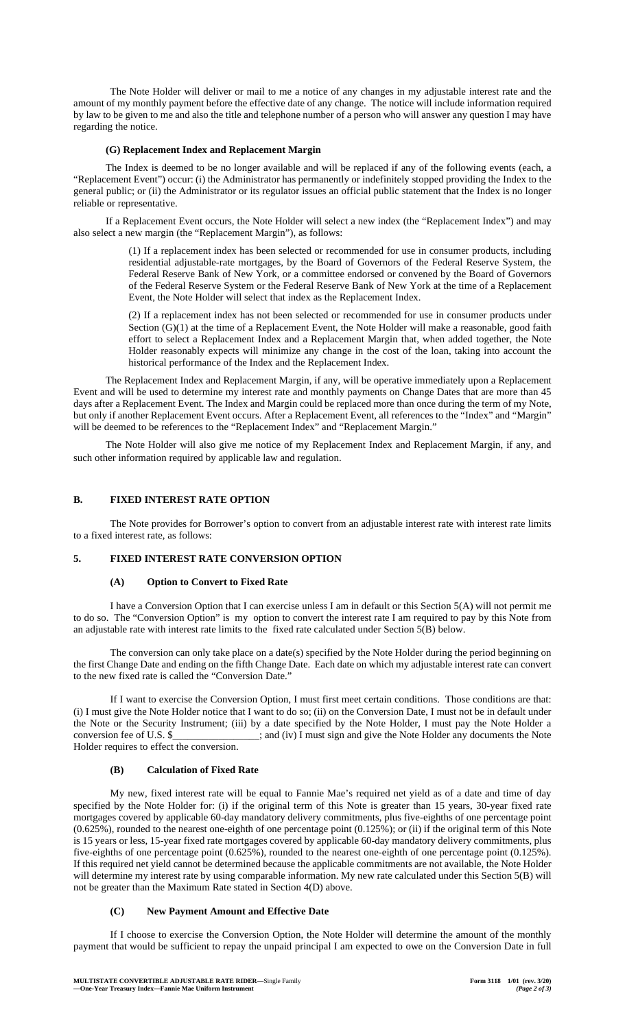The Note Holder will deliver or mail to me a notice of any changes in my adjustable interest rate and the amount of my monthly payment before the effective date of any change. The notice will include information required by law to be given to me and also the title and telephone number of a person who will answer any question I may have regarding the notice.

#### **(G) Replacement Index and Replacement Margin**

The Index is deemed to be no longer available and will be replaced if any of the following events (each, a "Replacement Event") occur: (i) the Administrator has permanently or indefinitely stopped providing the Index to the general public; or (ii) the Administrator or its regulator issues an official public statement that the Index is no longer reliable or representative.

If a Replacement Event occurs, the Note Holder will select a new index (the "Replacement Index") and may also select a new margin (the "Replacement Margin"), as follows:

> (1) If a replacement index has been selected or recommended for use in consumer products, including residential adjustable-rate mortgages, by the Board of Governors of the Federal Reserve System, the Federal Reserve Bank of New York, or a committee endorsed or convened by the Board of Governors of the Federal Reserve System or the Federal Reserve Bank of New York at the time of a Replacement Event, the Note Holder will select that index as the Replacement Index.

> (2) If a replacement index has not been selected or recommended for use in consumer products under Section  $(G)(1)$  at the time of a Replacement Event, the Note Holder will make a reasonable, good faith effort to select a Replacement Index and a Replacement Margin that, when added together, the Note Holder reasonably expects will minimize any change in the cost of the loan, taking into account the historical performance of the Index and the Replacement Index.

The Replacement Index and Replacement Margin, if any, will be operative immediately upon a Replacement Event and will be used to determine my interest rate and monthly payments on Change Dates that are more than 45 days after a Replacement Event. The Index and Margin could be replaced more than once during the term of my Note, but only if another Replacement Event occurs. After a Replacement Event, all references to the "Index" and "Margin" will be deemed to be references to the "Replacement Index" and "Replacement Margin."

The Note Holder will also give me notice of my Replacement Index and Replacement Margin, if any, and such other information required by applicable law and regulation.

#### **B. FIXED INTEREST RATE OPTION**

The Note provides for Borrower's option to convert from an adjustable interest rate with interest rate limits to a fixed interest rate, as follows:

# **5. FIXED INTEREST RATE CONVERSION OPTION**

#### **(A) Option to Convert to Fixed Rate**

I have a Conversion Option that I can exercise unless I am in default or this Section 5(A) will not permit me to do so. The "Conversion Option" is my option to convert the interest rate I am required to pay by this Note from an adjustable rate with interest rate limits to the fixed rate calculated under Section  $\bar{5(B)}$  below.

The conversion can only take place on a date(s) specified by the Note Holder during the period beginning on the first Change Date and ending on the fifth Change Date. Each date on which my adjustable interest rate can convert to the new fixed rate is called the "Conversion Date."

If I want to exercise the Conversion Option, I must first meet certain conditions. Those conditions are that: (i) I must give the Note Holder notice that I want to do so; (ii) on the Conversion Date, I must not be in default under the Note or the Security Instrument; (iii) by a date specified by the Note Holder, I must pay the Note Holder a<br>conversion fee of U.S. \$<br>and (iv) I must sign and give the Note Holder any documents the Note  $\therefore$ ; and (iv) I must sign and give the Note Holder any documents the Note Holder requires to effect the conversion.

#### **(B) Calculation of Fixed Rate**

My new, fixed interest rate will be equal to Fannie Mae's required net yield as of a date and time of day specified by the Note Holder for: (i) if the original term of this Note is greater than 15 years, 30-year fixed rate mortgages covered by applicable 60-day mandatory delivery commitments, plus five-eighths of one percentage point (0.625%), rounded to the nearest one-eighth of one percentage point (0.125%); or (ii) if the original term of this Note is 15 years or less, 15-year fixed rate mortgages covered by applicable 60-day mandatory delivery commitments, plus five-eighths of one percentage point (0.625%), rounded to the nearest one-eighth of one percentage point (0.125%). If this required net yield cannot be determined because the applicable commitments are not available, the Note Holder will determine my interest rate by using comparable information. My new rate calculated under this Section 5(B) will not be greater than the Maximum Rate stated in Section 4(D) above.

# **(C) New Payment Amount and Effective Date**

If I choose to exercise the Conversion Option, the Note Holder will determine the amount of the monthly payment that would be sufficient to repay the unpaid principal I am expected to owe on the Conversion Date in full